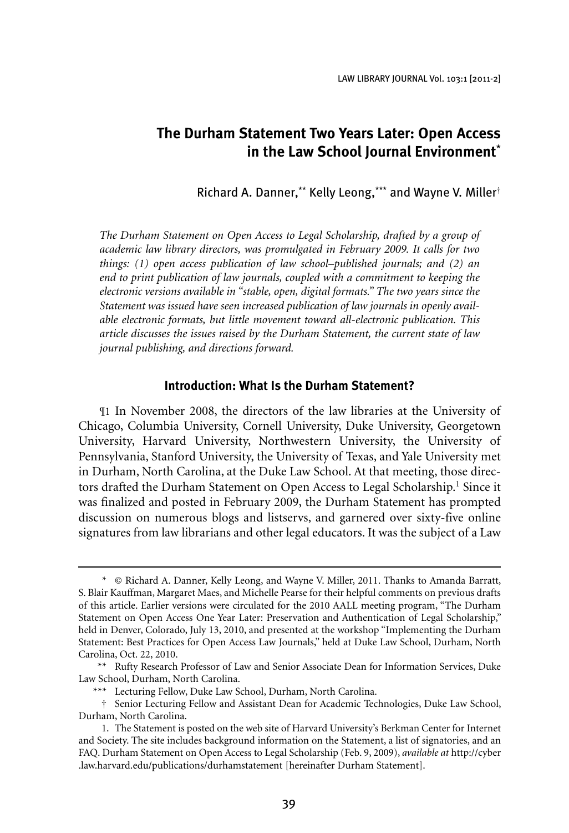LAW LIBRARY JOURNAL Vol. 103:1 [2011-2]

# **The Durham Statement Two Years Later: Open Access in the Law School Journal Environment**\*

Richard A. Danner,\*\* Kelly Leong,\*\*\* and Wayne V. Miller†

*The Durham Statement on Open Access to Legal Scholarship, drafted by a group of academic law library directors, was promulgated in February 2009. It calls for two things: (1) open access publication of law school–published journals; and (2) an end to print publication of law journals, coupled with a commitment to keeping the electronic versions available in "stable, open, digital formats." The two years since the Statement was issued have seen increased publication of law journals in openly available electronic formats, but little movement toward all-electronic publication. This article discusses the issues raised by the Durham Statement, the current state of law journal publishing, and directions forward.*

### **Introduction: What Is the Durham Statement?**

¶1 In November 2008, the directors of the law libraries at the University of Chicago, Columbia University, Cornell University, Duke University, Georgetown University, Harvard University, Northwestern University, the University of Pennsylvania, Stanford University, the University of Texas, and Yale University met in Durham, North Carolina, at the Duke Law School. At that meeting, those directors drafted the Durham Statement on Open Access to Legal Scholarship.<sup>1</sup> Since it was finalized and posted in February 2009, the Durham Statement has prompted discussion on numerous blogs and listservs, and garnered over sixty-five online signatures from law librarians and other legal educators. It was the subject of a Law

 <sup>\* ©</sup> Richard A. Danner, Kelly Leong, and Wayne V. Miller, 2011. Thanks to Amanda Barratt, S. Blair Kauffman, Margaret Maes, and Michelle Pearse for their helpful comments on previous drafts of this article. Earlier versions were circulated for the 2010 AALL meeting program, "The Durham Statement on Open Access One Year Later: Preservation and Authentication of Legal Scholarship," held in Denver, Colorado, July 13, 2010, and presented at the workshop "Implementing the Durham Statement: Best Practices for Open Access Law Journals," held at Duke Law School, Durham, North Carolina, Oct. 22, 2010.

<sup>\*\*</sup> Rufty Research Professor of Law and Senior Associate Dean for Information Services, Duke Law School, Durham, North Carolina.

<sup>\*\*\*</sup> Lecturing Fellow, Duke Law School, Durham, North Carolina.

 <sup>†</sup> Senior Lecturing Fellow and Assistant Dean for Academic Technologies, Duke Law School, Durham, North Carolina.

<sup>1.</sup> The Statement is posted on the web site of Harvard University's Berkman Center for Internet and Society. The site includes background information on the Statement, a list of signatories, and an FAQ. Durham Statement on Open Access to Legal Scholarship (Feb. 9, 2009), *available at* http://cyber .law.harvard.edu/publications/durhamstatement [hereinafter Durham Statement].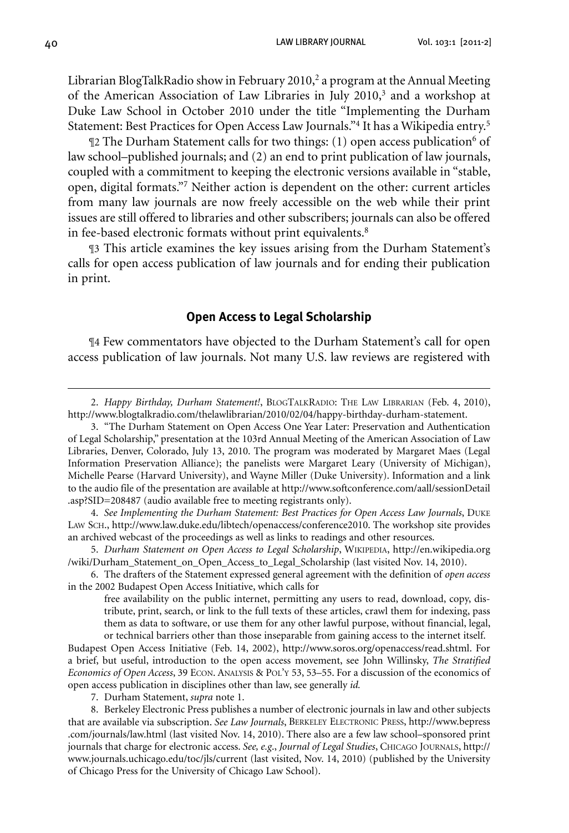40 Law Library Journal Vol. 103:1 [2011-2]

Librarian BlogTalkRadio show in February 2010,<sup>2</sup> a program at the Annual Meeting of the American Association of Law Libraries in July 2010,3 and a workshop at Duke Law School in October 2010 under the title "Implementing the Durham Statement: Best Practices for Open Access Law Journals."4 It has a Wikipedia entry.5

 $\mathbb{I}2$  The Durham Statement calls for two things: (1) open access publication<sup>6</sup> of law school–published journals; and (2) an end to print publication of law journals, coupled with a commitment to keeping the electronic versions available in "stable, open, digital formats."7 Neither action is dependent on the other: current articles from many law journals are now freely accessible on the web while their print issues are still offered to libraries and other subscribers; journals can also be offered in fee-based electronic formats without print equivalents.<sup>8</sup>

¶3 This article examines the key issues arising from the Durham Statement's calls for open access publication of law journals and for ending their publication in print.

#### **Open Access to Legal Scholarship**

¶4 Few commentators have objected to the Durham Statement's call for open access publication of law journals. Not many U.S. law reviews are registered with

 4. *See Implementing the Durham Statement: Best Practices for Open Access Law Journals*, Duke Law Sch., http://www.law.duke.edu/libtech/openaccess/conference2010. The workshop site provides an archived webcast of the proceedings as well as links to readings and other resources.

5. Durham Statement on Open Access to Legal Scholarship, WIKIPEDIA, http://en.wikipedia.org /wiki/Durham\_Statement\_on\_Open\_Access\_to\_Legal\_Scholarship (last visited Nov. 14, 2010).

 6. The drafters of the Statement expressed general agreement with the definition of *open access* in the 2002 Budapest Open Access Initiative, which calls for

free availability on the public internet, permitting any users to read, download, copy, distribute, print, search, or link to the full texts of these articles, crawl them for indexing, pass them as data to software, or use them for any other lawful purpose, without financial, legal, or technical barriers other than those inseparable from gaining access to the internet itself.

Budapest Open Access Initiative (Feb. 14, 2002), http://www.soros.org/openaccess/read.shtml. For a brief, but useful, introduction to the open access movement, see John Willinsky, *The Stratified Economics of Open Access*, 39 Econ. Analysis & Pol'y 53, 53–55. For a discussion of the economics of open access publication in disciplines other than law, see generally *id.*

 7. Durham Statement, *supra* note 1.

8. Berkeley Electronic Press publishes a number of electronic journals in law and other subjects that are available via subscription. *See Law Journals*, Berkeley Electronic Press, http://www.bepress .com/journals/law.html (last visited Nov. 14, 2010). There also are a few law school–sponsored print journals that charge for electronic access. *See, e.g*., *Journal of Legal Studies*, Chicago Journals, http:// www.journals.uchicago.edu/toc/jls/current (last visited, Nov. 14, 2010) (published by the University of Chicago Press for the University of Chicago Law School).

<sup>2.</sup> *Happy Birthday, Durham Statement!*, BLOGTALKRADIO: THE LAW LIBRARIAN (Feb. 4, 2010), http://www.blogtalkradio.com/thelawlibrarian/2010/02/04/happy-birthday-durham-statement.

 <sup>3. &</sup>quot;The Durham Statement on Open Access One Year Later: Preservation and Authentication of Legal Scholarship," presentation at the 103rd Annual Meeting of the American Association of Law Libraries, Denver, Colorado, July 13, 2010. The program was moderated by Margaret Maes (Legal Information Preservation Alliance); the panelists were Margaret Leary (University of Michigan), Michelle Pearse (Harvard University), and Wayne Miller (Duke University). Information and a link to the audio file of the presentation are available at http://www.softconference.com/aall/sessionDetail .asp?SID=208487 (audio available free to meeting registrants only).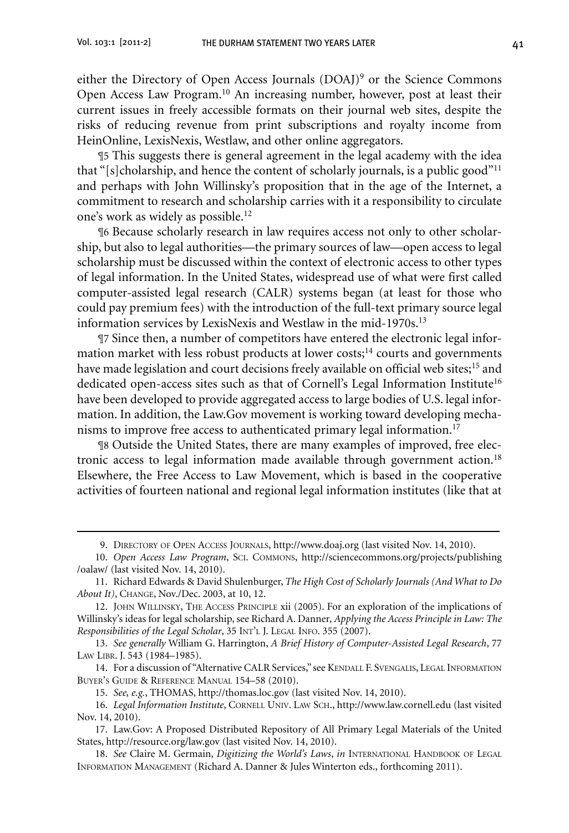either the Directory of Open Access Journals (DOAJ)<sup>9</sup> or the Science Commons Open Access Law Program.10 An increasing number, however, post at least their current issues in freely accessible formats on their journal web sites, despite the risks of reducing revenue from print subscriptions and royalty income from HeinOnline, LexisNexis, Westlaw, and other online aggregators.

¶5 This suggests there is general agreement in the legal academy with the idea that "[s]cholarship, and hence the content of scholarly journals, is a public good"<sup>11</sup> and perhaps with John Willinsky's proposition that in the age of the Internet, a commitment to research and scholarship carries with it a responsibility to circulate one's work as widely as possible.12

¶6 Because scholarly research in law requires access not only to other scholarship, but also to legal authorities—the primary sources of law—open access to legal scholarship must be discussed within the context of electronic access to other types of legal information. In the United States, widespread use of what were first called computer-assisted legal research (CALR) systems began (at least for those who could pay premium fees) with the introduction of the full-text primary source legal information services by LexisNexis and Westlaw in the mid-1970s.<sup>13</sup>

¶7 Since then, a number of competitors have entered the electronic legal information market with less robust products at lower costs; $14$  courts and governments have made legislation and court decisions freely available on official web sites;<sup>15</sup> and dedicated open-access sites such as that of Cornell's Legal Information Institute<sup>16</sup> have been developed to provide aggregated access to large bodies of U.S. legal information. In addition, the Law.Gov movement is working toward developing mechanisms to improve free access to authenticated primary legal information.17

¶8 Outside the United States, there are many examples of improved, free electronic access to legal information made available through government action.<sup>18</sup> Elsewhere, the Free Access to Law Movement, which is based in the cooperative activities of fourteen national and regional legal information institutes (like that at

<sup>9.</sup> DIRECTORY OF OPEN ACCESS JOURNALS, http://www.doaj.org (last visited Nov. 14, 2010).

 <sup>10.</sup> *Open Access Law Program*, Sci. Commons, http://sciencecommons.org/projects/publishing /oalaw/ (last visited Nov. 14, 2010).

 <sup>11.</sup> Richard Edwards & David Shulenburger, *The High Cost of Scholarly Journals (And What to Do About It)*, Change, Nov./Dec. 2003, at 10, 12.

 <sup>12.</sup> John Willinsky, The Access Principle xii (2005). For an exploration of the implications of Willinsky's ideas for legal scholarship, see Richard A. Danner*, Applying the Access Principle in Law: The Responsibilities of the Legal Scholar*, 35 Int'l J. Legal Info. 355 (2007).

 <sup>13.</sup> *See generally* William G. Harrington, *A Brief History of Computer-Assisted Legal Research*, 77 Law Libr. J. 543 (1984–1985).

<sup>14.</sup> For a discussion of "Alternative CALR Services," see KENDALL F. SVENGALIS, LEGAL INFORMATION Buyer's Guide & Reference Manual 154–58 (2010).

 <sup>15.</sup> *See, e.g.*, THOMAS, http://thomas.loc.gov (last visited Nov. 14, 2010).

 <sup>16.</sup> *Legal Information Institute*, Cornell Univ. Law Sch., http://www.law.cornell.edu (last visited Nov. 14, 2010).

 <sup>17.</sup> Law.Gov: A Proposed Distributed Repository of All Primary Legal Materials of the United States, http://resource.org/law.gov (last visited Nov. 14, 2010).

 <sup>18.</sup> *See* Claire M. Germain, *Digitizing the World's Laws*, *in* International Handbook of Legal Information Management (Richard A. Danner & Jules Winterton eds., forthcoming 2011).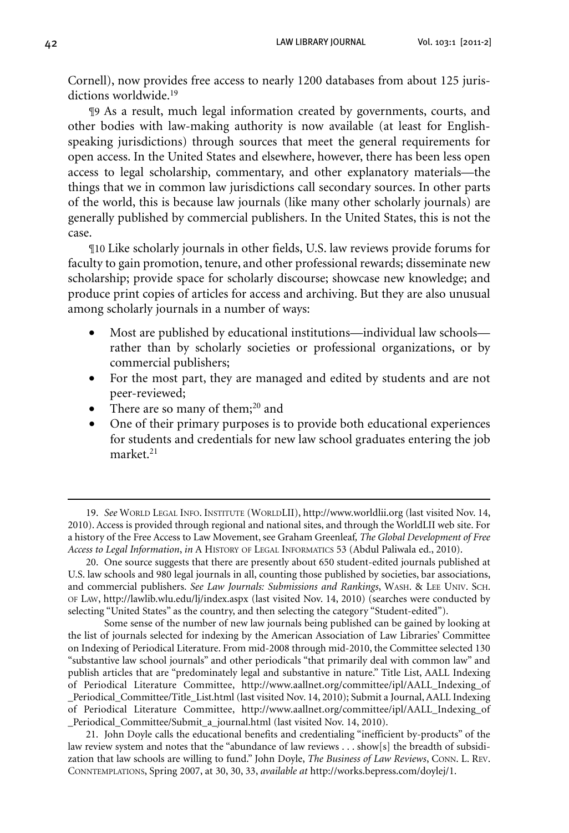Cornell), now provides free access to nearly 1200 databases from about 125 jurisdictions worldwide.<sup>19</sup>

¶9 As a result, much legal information created by governments, courts, and other bodies with law-making authority is now available (at least for Englishspeaking jurisdictions) through sources that meet the general requirements for open access. In the United States and elsewhere, however, there has been less open access to legal scholarship, commentary, and other explanatory materials—the things that we in common law jurisdictions call secondary sources. In other parts of the world, this is because law journals (like many other scholarly journals) are generally published by commercial publishers. In the United States, this is not the case.

¶10 Like scholarly journals in other fields, U.S. law reviews provide forums for faculty to gain promotion, tenure, and other professional rewards; disseminate new scholarship; provide space for scholarly discourse; showcase new knowledge; and produce print copies of articles for access and archiving. But they are also unusual among scholarly journals in a number of ways:

- Most are published by educational institutions—individual law schools rather than by scholarly societies or professional organizations, or by commercial publishers;
- For the most part, they are managed and edited by students and are not peer-reviewed;
- There are so many of them; $^{20}$  and
- One of their primary purposes is to provide both educational experiences for students and credentials for new law school graduates entering the job market.<sup>21</sup>

 20. One source suggests that there are presently about 650 student-edited journals published at U.S. law schools and 980 legal journals in all, counting those published by societies, bar associations, and commercial publishers. *See Law Journals: Submissions and Rankings*, Wash. & Lee Univ. Sch. of Law, http://lawlib.wlu.edu/lj/index.aspx (last visited Nov. 14, 2010) (searches were conducted by selecting "United States" as the country, and then selecting the category "Student-edited").

Some sense of the number of new law journals being published can be gained by looking at the list of journals selected for indexing by the American Association of Law Libraries' Committee on Indexing of Periodical Literature. From mid-2008 through mid-2010, the Committee selected 130 "substantive law school journals" and other periodicals "that primarily deal with common law" and publish articles that are "predominately legal and substantive in nature." Title List, AALL Indexing of Periodical Literature Committee, http://www.aallnet.org/committee/ipl/AALL\_Indexing\_of \_Periodical\_Committee/Title\_List.html (last visited Nov. 14, 2010); Submit a Journal,AALL Indexing of Periodical Literature Committee, http://www.aallnet.org/committee/ipl/AALL\_Indexing\_of \_Periodical\_Committee/Submit\_a\_journal.html (last visited Nov. 14, 2010).

21. John Doyle calls the educational benefits and credentialing "inefficient by-products" of the law review system and notes that the "abundance of law reviews . . . show[s] the breadth of subsidization that law schools are willing to fund." John Doyle, *The Business of Law Reviews*, Conn. L. Rev. Conntemplations, Spring 2007, at 30, 30, 33, *available at* http://works.bepress.com/doylej/1.

 <sup>19.</sup> *See* World Legal Info. Institute (WorldLII), http://www.worldlii.org (last visited Nov. 14, 2010). Access is provided through regional and national sites, and through the WorldLII web site. For a history of the Free Access to Law Movement, see Graham Greenleaf*, The Global Development of Free Access to Legal Information*, *in* A History of Legal Informatics 53 (Abdul Paliwala ed., 2010).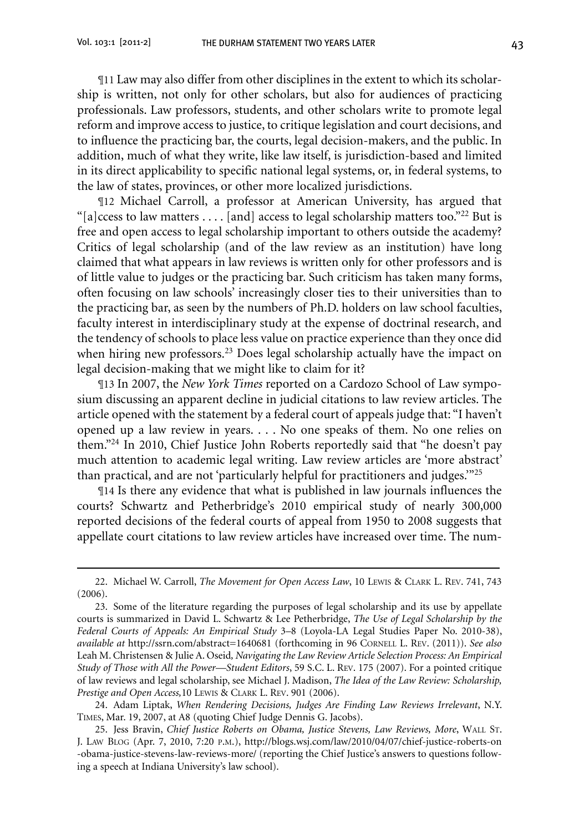¶11 Law may also differ from other disciplines in the extent to which its scholarship is written, not only for other scholars, but also for audiences of practicing professionals. Law professors, students, and other scholars write to promote legal reform and improve access to justice, to critique legislation and court decisions, and to influence the practicing bar, the courts, legal decision-makers, and the public. In addition, much of what they write, like law itself, is jurisdiction-based and limited in its direct applicability to specific national legal systems, or, in federal systems, to the law of states, provinces, or other more localized jurisdictions.

¶12 Michael Carroll, a professor at American University, has argued that "[a]ccess to law matters . . . . [and] access to legal scholarship matters too."<sup>22</sup> But is free and open access to legal scholarship important to others outside the academy? Critics of legal scholarship (and of the law review as an institution) have long claimed that what appears in law reviews is written only for other professors and is of little value to judges or the practicing bar. Such criticism has taken many forms, often focusing on law schools' increasingly closer ties to their universities than to the practicing bar, as seen by the numbers of Ph.D. holders on law school faculties, faculty interest in interdisciplinary study at the expense of doctrinal research, and the tendency of schools to place less value on practice experience than they once did when hiring new professors.<sup>23</sup> Does legal scholarship actually have the impact on legal decision-making that we might like to claim for it?

¶13 In 2007, the *New York Times* reported on a Cardozo School of Law symposium discussing an apparent decline in judicial citations to law review articles. The article opened with the statement by a federal court of appeals judge that: "I haven't opened up a law review in years. . . . No one speaks of them. No one relies on them."24 In 2010, Chief Justice John Roberts reportedly said that "he doesn't pay much attention to academic legal writing. Law review articles are 'more abstract' than practical, and are not 'particularly helpful for practitioners and judges.'"25

¶14 Is there any evidence that what is published in law journals influences the courts? Schwartz and Petherbridge's 2010 empirical study of nearly 300,000 reported decisions of the federal courts of appeal from 1950 to 2008 suggests that appellate court citations to law review articles have increased over time. The num-

 <sup>22.</sup> Michael W. Carroll, *The Movement for Open Access Law*, 10 Lewis & Clark L. Rev. 741, 743 (2006).

<sup>23.</sup> Some of the literature regarding the purposes of legal scholarship and its use by appellate courts is summarized in David L. Schwartz & Lee Petherbridge, *The Use of Legal Scholarship by the Federal Courts of Appeals: An Empirical Study* 3–8 (Loyola-LA Legal Studies Paper No. 2010-38), *available at* http://ssrn.com/abstract=1640681 (forthcoming in 96 Cornell L. Rev. (2011)). *See also* Leah M. Christensen & Julie A. Oseid*, Navigating the Law Review Article Selection Process: An Empirical Study of Those with All the Power—Student Editors*, 59 S.C. L. Rev. 175 (2007). For a pointed critique of law reviews and legal scholarship, see Michael J. Madison, *The Idea of the Law Review: Scholarship, Prestige and Open Access,*10 Lewis & Clark L. Rev. 901 (2006).

 <sup>24.</sup> Adam Liptak, *When Rendering Decisions, Judges Are Finding Law Reviews Irrelevant*, N.Y. Times, Mar. 19, 2007, at A8 (quoting Chief Judge Dennis G. Jacobs).

 <sup>25.</sup> Jess Bravin, *Chief Justice Roberts on Obama, Justice Stevens, Law Reviews, More*, Wall St. J. Law Blog (Apr. 7, 2010, 7:20 p.m.), http://blogs.wsj.com/law/2010/04/07/chief-justice-roberts-on -obama-justice-stevens-law-reviews-more/ (reporting the Chief Justice's answers to questions following a speech at Indiana University's law school).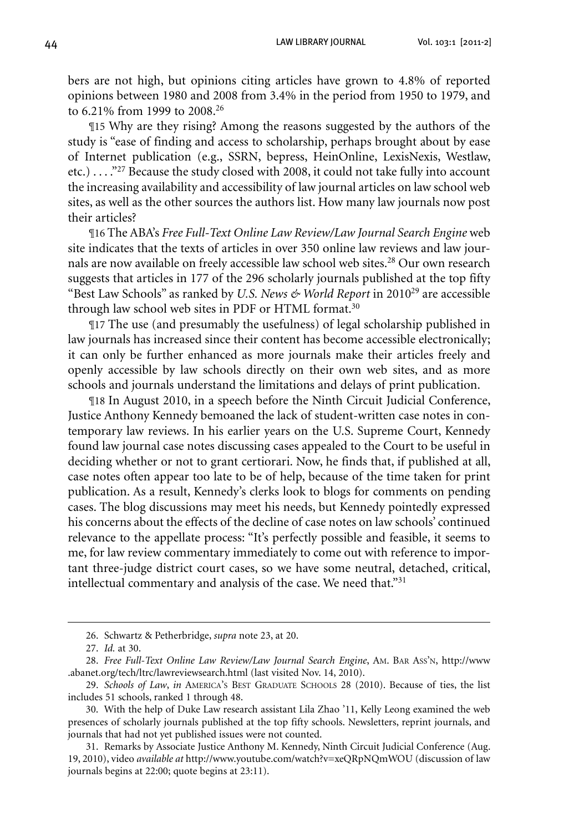bers are not high, but opinions citing articles have grown to 4.8% of reported opinions between 1980 and 2008 from 3.4% in the period from 1950 to 1979, and to 6.21% from 1999 to 2008.<sup>26</sup>

¶15 Why are they rising? Among the reasons suggested by the authors of the study is "ease of finding and access to scholarship, perhaps brought about by ease of Internet publication (e.g., SSRN, bepress, HeinOnline, LexisNexis, Westlaw, etc.) . . . ."27 Because the study closed with 2008, it could not take fully into account the increasing availability and accessibility of law journal articles on law school web sites, as well as the other sources the authors list. How many law journals now post their articles?

¶16 The ABA's *Free Full-Text Online Law Review/Law Journal Search Engine* web site indicates that the texts of articles in over 350 online law reviews and law journals are now available on freely accessible law school web sites.<sup>28</sup> Our own research suggests that articles in 177 of the 296 scholarly journals published at the top fifty "Best Law Schools" as ranked by *U.S. News & World Report* in 201029 are accessible through law school web sites in PDF or HTML format.<sup>30</sup>

¶17 The use (and presumably the usefulness) of legal scholarship published in law journals has increased since their content has become accessible electronically; it can only be further enhanced as more journals make their articles freely and openly accessible by law schools directly on their own web sites, and as more schools and journals understand the limitations and delays of print publication.

¶18 In August 2010, in a speech before the Ninth Circuit Judicial Conference, Justice Anthony Kennedy bemoaned the lack of student-written case notes in contemporary law reviews. In his earlier years on the U.S. Supreme Court, Kennedy found law journal case notes discussing cases appealed to the Court to be useful in deciding whether or not to grant certiorari. Now, he finds that, if published at all, case notes often appear too late to be of help, because of the time taken for print publication. As a result, Kennedy's clerks look to blogs for comments on pending cases. The blog discussions may meet his needs, but Kennedy pointedly expressed his concerns about the effects of the decline of case notes on law schools' continued relevance to the appellate process: "It's perfectly possible and feasible, it seems to me, for law review commentary immediately to come out with reference to important three-judge district court cases, so we have some neutral, detached, critical, intellectual commentary and analysis of the case. We need that."<sup>31</sup>

 <sup>26.</sup> Schwartz & Petherbridge, *supra* note 23, at 20.

 <sup>27.</sup> *Id.* at 30.

 <sup>28.</sup> *Free Full-Text Online Law Review/Law Journal Search Engine*, Am. Bar Ass'n, http://www .abanet.org/tech/ltrc/lawreviewsearch.html (last visited Nov. 14, 2010).

 <sup>29.</sup> *Schools of Law*, *in* America's Best Graduate Schools 28 (2010). Because of ties, the list includes 51 schools, ranked 1 through 48.

 <sup>30.</sup> With the help of Duke Law research assistant Lila Zhao '11, Kelly Leong examined the web presences of scholarly journals published at the top fifty schools. Newsletters, reprint journals, and journals that had not yet published issues were not counted.

<sup>31.</sup> Remarks by Associate Justice Anthony M. Kennedy, Ninth Circuit Judicial Conference (Aug. 19, 2010), video *available at* http://www.youtube.com/watch?v=xeQRpNQmWOU (discussion of law journals begins at 22:00; quote begins at 23:11).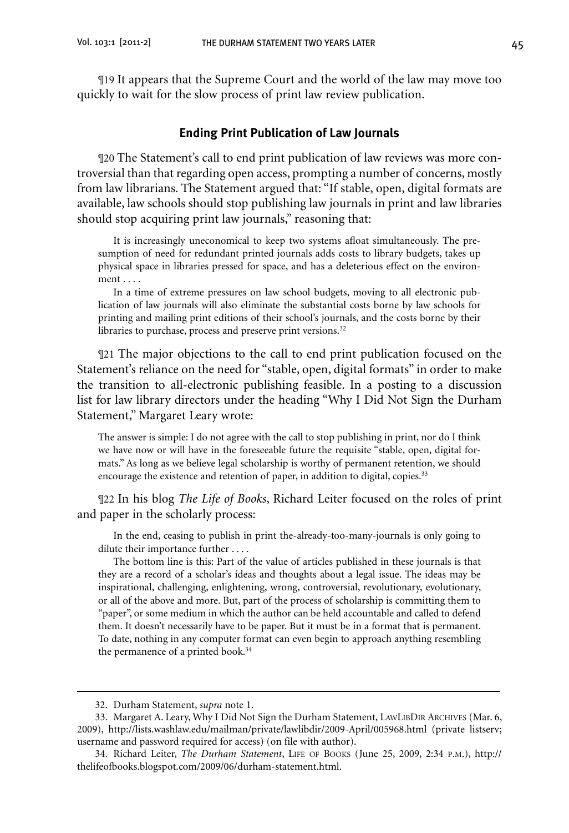¶19 It appears that the Supreme Court and the world of the law may move too quickly to wait for the slow process of print law review publication.

#### **Ending Print Publication of Law Journals**

¶20 The Statement's call to end print publication of law reviews was more controversial than that regarding open access, prompting a number of concerns, mostly from law librarians. The Statement argued that: "If stable, open, digital formats are available, law schools should stop publishing law journals in print and law libraries should stop acquiring print law journals," reasoning that:

It is increasingly uneconomical to keep two systems afloat simultaneously. The presumption of need for redundant printed journals adds costs to library budgets, takes up physical space in libraries pressed for space, and has a deleterious effect on the environment . . . .

In a time of extreme pressures on law school budgets, moving to all electronic publication of law journals will also eliminate the substantial costs borne by law schools for printing and mailing print editions of their school's journals, and the costs borne by their libraries to purchase, process and preserve print versions.<sup>32</sup>

¶21 The major objections to the call to end print publication focused on the Statement's reliance on the need for "stable, open, digital formats" in order to make the transition to all-electronic publishing feasible. In a posting to a discussion list for law library directors under the heading "Why I Did Not Sign the Durham Statement," Margaret Leary wrote:

The answer is simple: I do not agree with the call to stop publishing in print, nor do I think we have now or will have in the foreseeable future the requisite "stable, open, digital formats." As long as we believe legal scholarship is worthy of permanent retention, we should encourage the existence and retention of paper, in addition to digital, copies.<sup>33</sup>

¶22 In his blog *The Life of Books*, Richard Leiter focused on the roles of print and paper in the scholarly process:

In the end, ceasing to publish in print the-already-too-many-journals is only going to dilute their importance further . . . .

The bottom line is this: Part of the value of articles published in these journals is that they are a record of a scholar's ideas and thoughts about a legal issue. The ideas may be inspirational, challenging, enlightening, wrong, controversial, revolutionary, evolutionary, or all of the above and more. But, part of the process of scholarship is committing them to "paper", or some medium in which the author can be held accountable and called to defend them. It doesn't necessarily have to be paper. But it must be in a format that is permanent. To date, nothing in any computer format can even begin to approach anything resembling the permanence of a printed book.<sup>34</sup>

 <sup>32.</sup> Durham Statement, *supra* note 1.

<sup>33.</sup> Margaret A. Leary, Why I Did Not Sign the Durham Statement, LAWLIBDIR ARCHIVES (Mar. 6, 2009), http://lists.washlaw.edu/mailman/private/lawlibdir/2009-April/005968.html (private listserv; username and password required for access) (on file with author).

<sup>34.</sup> Richard Leiter, *The Durham Statement*, LIFE OF BOOKS (June 25, 2009, 2:34 P.M.), http:// thelifeofbooks.blogspot.com/2009/06/durham-statement.html.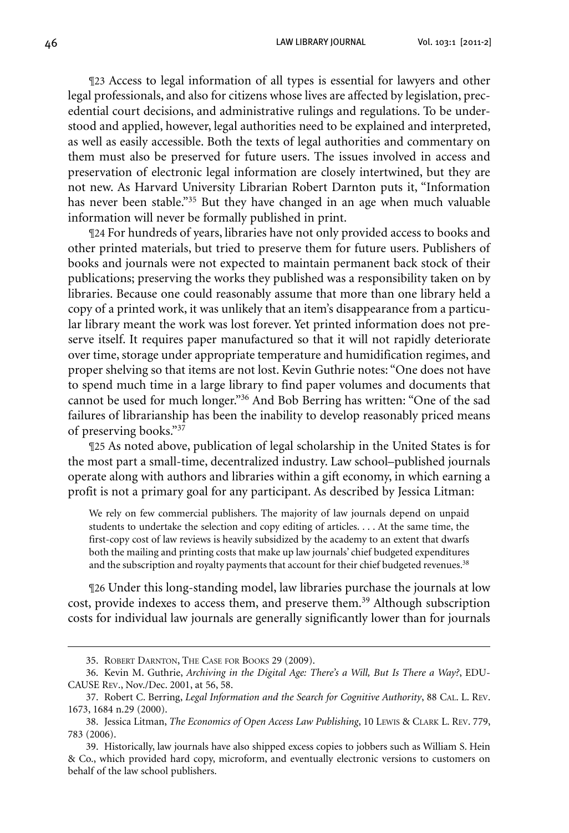46 Law Library Journal Vol. 103:1 [2011-2]

¶23 Access to legal information of all types is essential for lawyers and other legal professionals, and also for citizens whose lives are affected by legislation, precedential court decisions, and administrative rulings and regulations. To be understood and applied, however, legal authorities need to be explained and interpreted, as well as easily accessible. Both the texts of legal authorities and commentary on them must also be preserved for future users. The issues involved in access and preservation of electronic legal information are closely intertwined, but they are not new. As Harvard University Librarian Robert Darnton puts it, "Information has never been stable."<sup>35</sup> But they have changed in an age when much valuable information will never be formally published in print.

¶24 For hundreds of years, libraries have not only provided access to books and other printed materials, but tried to preserve them for future users. Publishers of books and journals were not expected to maintain permanent back stock of their publications; preserving the works they published was a responsibility taken on by libraries. Because one could reasonably assume that more than one library held a copy of a printed work, it was unlikely that an item's disappearance from a particular library meant the work was lost forever. Yet printed information does not preserve itself. It requires paper manufactured so that it will not rapidly deteriorate over time, storage under appropriate temperature and humidification regimes, and proper shelving so that items are not lost. Kevin Guthrie notes: "One does not have to spend much time in a large library to find paper volumes and documents that cannot be used for much longer."36 And Bob Berring has written: "One of the sad failures of librarianship has been the inability to develop reasonably priced means of preserving books."37

¶25 As noted above, publication of legal scholarship in the United States is for the most part a small-time, decentralized industry. Law school–published journals operate along with authors and libraries within a gift economy, in which earning a profit is not a primary goal for any participant. As described by Jessica Litman:

We rely on few commercial publishers. The majority of law journals depend on unpaid students to undertake the selection and copy editing of articles. . . . At the same time, the first-copy cost of law reviews is heavily subsidized by the academy to an extent that dwarfs both the mailing and printing costs that make up law journals' chief budgeted expenditures and the subscription and royalty payments that account for their chief budgeted revenues.<sup>38</sup>

¶26 Under this long-standing model, law libraries purchase the journals at low cost, provide indexes to access them, and preserve them.<sup>39</sup> Although subscription costs for individual law journals are generally significantly lower than for journals

 <sup>35.</sup> Robert Darnton, The Case for Books 29 (2009).

 <sup>36.</sup> Kevin M. Guthrie, *Archiving in the Digital Age: There's a Will, But Is There a Way?*, EDU-CAUSE Rev., Nov./Dec. 2001, at 56, 58.

 <sup>37.</sup> Robert C. Berring, *Legal Information and the Search for Cognitive Authority*, 88 Cal. L. Rev. 1673, 1684 n.29 (2000).

 <sup>38.</sup> Jessica Litman, *The Economics of Open Access Law Publishing*, 10 Lewis & Clark L. Rev. 779, 783 (2006).

 <sup>39.</sup> Historically, law journals have also shipped excess copies to jobbers such as William S. Hein & Co., which provided hard copy, microform, and eventually electronic versions to customers on behalf of the law school publishers.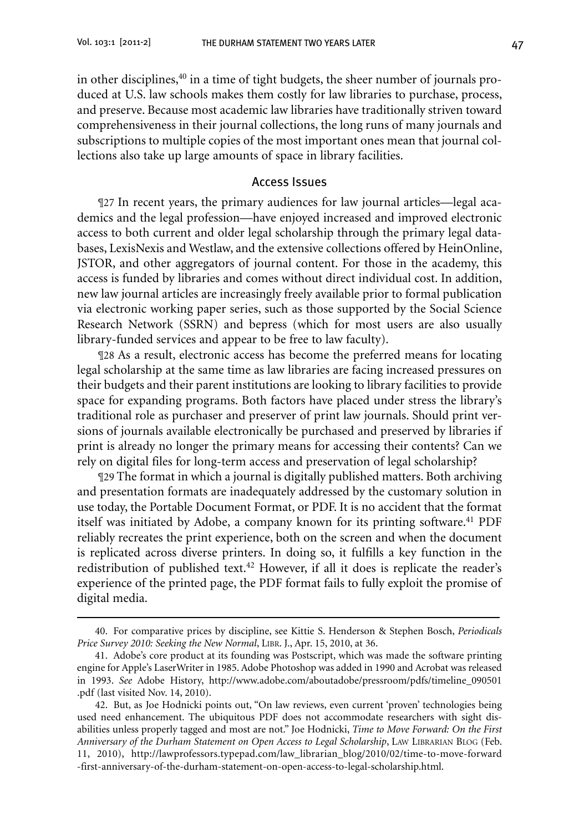in other disciplines,<sup>40</sup> in a time of tight budgets, the sheer number of journals produced at U.S. law schools makes them costly for law libraries to purchase, process, and preserve. Because most academic law libraries have traditionally striven toward comprehensiveness in their journal collections, the long runs of many journals and subscriptions to multiple copies of the most important ones mean that journal collections also take up large amounts of space in library facilities.

#### Access Issues

¶27 In recent years, the primary audiences for law journal articles—legal academics and the legal profession—have enjoyed increased and improved electronic access to both current and older legal scholarship through the primary legal databases, LexisNexis and Westlaw, and the extensive collections offered by HeinOnline, JSTOR, and other aggregators of journal content. For those in the academy, this access is funded by libraries and comes without direct individual cost. In addition, new law journal articles are increasingly freely available prior to formal publication via electronic working paper series, such as those supported by the Social Science Research Network (SSRN) and bepress (which for most users are also usually library-funded services and appear to be free to law faculty).

¶28 As a result, electronic access has become the preferred means for locating legal scholarship at the same time as law libraries are facing increased pressures on their budgets and their parent institutions are looking to library facilities to provide space for expanding programs. Both factors have placed under stress the library's traditional role as purchaser and preserver of print law journals. Should print versions of journals available electronically be purchased and preserved by libraries if print is already no longer the primary means for accessing their contents? Can we rely on digital files for long-term access and preservation of legal scholarship?

¶29 The format in which a journal is digitally published matters. Both archiving and presentation formats are inadequately addressed by the customary solution in use today, the Portable Document Format, or PDF. It is no accident that the format itself was initiated by Adobe, a company known for its printing software.<sup>41</sup> PDF reliably recreates the print experience, both on the screen and when the document is replicated across diverse printers. In doing so, it fulfills a key function in the redistribution of published text.<sup>42</sup> However, if all it does is replicate the reader's experience of the printed page, the PDF format fails to fully exploit the promise of digital media.

 <sup>40.</sup> For comparative prices by discipline, see Kittie S. Henderson & Stephen Bosch, *Periodicals Price Survey 2010: Seeking the New Normal*, Libr. J., Apr. 15, 2010, at 36.

 <sup>41.</sup> Adobe's core product at its founding was Postscript, which was made the software printing engine for Apple's LaserWriter in 1985.Adobe Photoshop was added in 1990 and Acrobat was released in 1993. *See* Adobe History, http://www.adobe.com/aboutadobe/pressroom/pdfs/timeline\_090501 .pdf (last visited Nov. 14, 2010).

 <sup>42.</sup> But, as Joe Hodnicki points out, "On law reviews, even current 'proven' technologies being used need enhancement. The ubiquitous PDF does not accommodate researchers with sight disabilities unless properly tagged and most are not." Joe Hodnicki, *Time to Move Forward: On the First Anniversary of the Durham Statement on Open Access to Legal Scholarship*, Law Librarian Blog (Feb. 11, 2010), http://lawprofessors.typepad.com/law\_librarian\_blog/2010/02/time-to-move-forward -first-anniversary-of-the-durham-statement-on-open-access-to-legal-scholarship.html.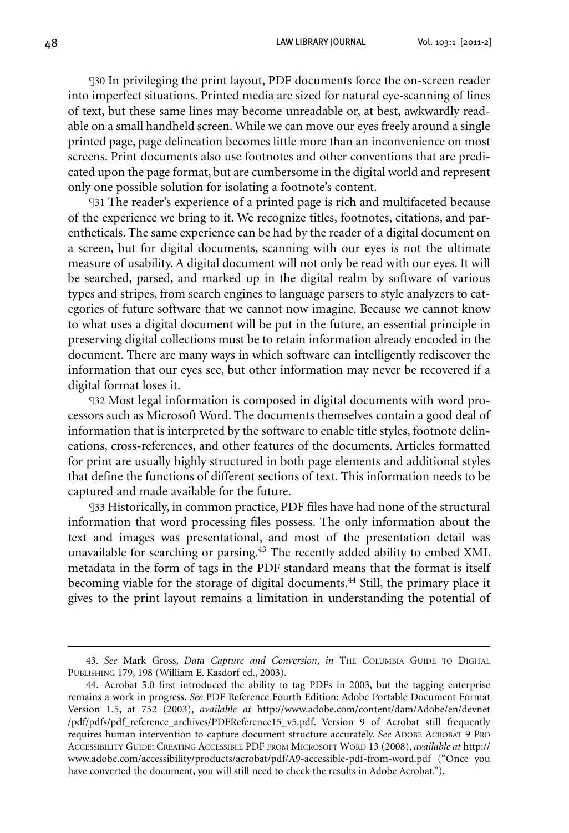48 Law Library Journal Vol. 103:1 [2011-2]

¶30 In privileging the print layout, PDF documents force the on-screen reader into imperfect situations. Printed media are sized for natural eye-scanning of lines of text, but these same lines may become unreadable or, at best, awkwardly readable on a small handheld screen.While we can move our eyes freely around a single printed page, page delineation becomes little more than an inconvenience on most screens. Print documents also use footnotes and other conventions that are predicated upon the page format, but are cumbersome in the digital world and represent only one possible solution for isolating a footnote's content.

¶31 The reader's experience of a printed page is rich and multifaceted because of the experience we bring to it. We recognize titles, footnotes, citations, and parentheticals. The same experience can be had by the reader of a digital document on a screen, but for digital documents, scanning with our eyes is not the ultimate measure of usability. A digital document will not only be read with our eyes. It will be searched, parsed, and marked up in the digital realm by software of various types and stripes, from search engines to language parsers to style analyzers to categories of future software that we cannot now imagine. Because we cannot know to what uses a digital document will be put in the future, an essential principle in preserving digital collections must be to retain information already encoded in the document. There are many ways in which software can intelligently rediscover the information that our eyes see, but other information may never be recovered if a digital format loses it.

¶32 Most legal information is composed in digital documents with word processors such as Microsoft Word. The documents themselves contain a good deal of information that is interpreted by the software to enable title styles, footnote delineations, cross-references, and other features of the documents. Articles formatted for print are usually highly structured in both page elements and additional styles that define the functions of different sections of text. This information needs to be captured and made available for the future.

¶33 Historically, in common practice, PDF files have had none of the structural information that word processing files possess. The only information about the text and images was presentational, and most of the presentation detail was unavailable for searching or parsing.43 The recently added ability to embed XML metadata in the form of tags in the PDF standard means that the format is itself becoming viable for the storage of digital documents.<sup>44</sup> Still, the primary place it gives to the print layout remains a limitation in understanding the potential of

<sup>43.</sup> See Mark Gross, *Data Capture and Conversion*, *in* THE COLUMBIA GUIDE TO DIGITAL Publishing 179, 198 (William E. Kasdorf ed., 2003).

 <sup>44.</sup> Acrobat 5.0 first introduced the ability to tag PDFs in 2003, but the tagging enterprise remains a work in progress. *See* PDF Reference Fourth Edition: Adobe Portable Document Format Version 1.5, at 752 (2003), *available at* http://www.adobe.com/content/dam/Adobe/en/devnet /pdf/pdfs/pdf\_reference\_archives/PDFReference15\_v5.pdf. Version 9 of Acrobat still frequently requires human intervention to capture document structure accurately. *See* Adobe Acrobat 9 Pro Accessibility Guide: Creating Accessible PDF from Microsoft Word 13 (2008), *available at* http:// www.adobe.com/accessibility/products/acrobat/pdf/A9-accessible-pdf-from-word.pdf ("Once you have converted the document, you will still need to check the results in Adobe Acrobat.").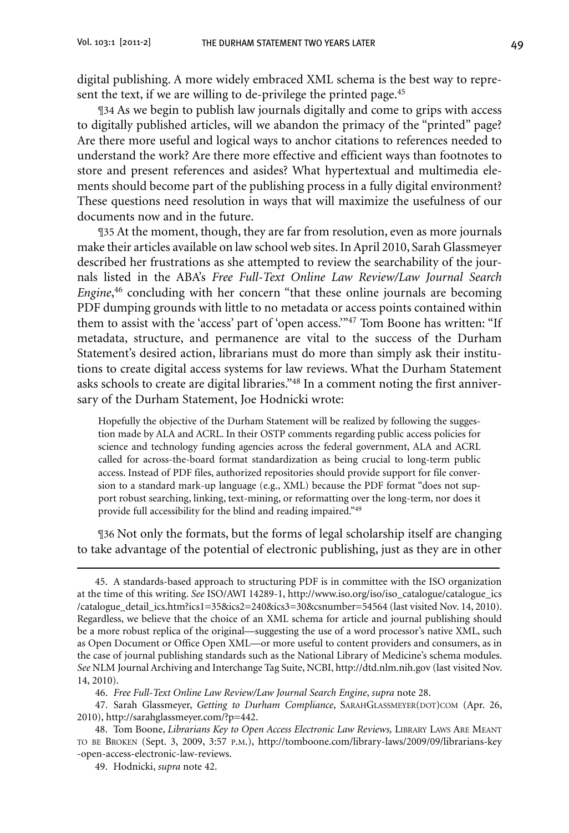digital publishing. A more widely embraced XML schema is the best way to represent the text, if we are willing to de-privilege the printed page.<sup>45</sup>

¶34 As we begin to publish law journals digitally and come to grips with access to digitally published articles, will we abandon the primacy of the "printed" page? Are there more useful and logical ways to anchor citations to references needed to understand the work? Are there more effective and efficient ways than footnotes to store and present references and asides? What hypertextual and multimedia elements should become part of the publishing process in a fully digital environment? These questions need resolution in ways that will maximize the usefulness of our documents now and in the future.

¶35 At the moment, though, they are far from resolution, even as more journals make their articles available on law school web sites.InApril 2010, Sarah Glassmeyer described her frustrations as she attempted to review the searchability of the journals listed in the ABA's *Free Full-Text Online Law Review/Law Journal Search Engine*, <sup>46</sup> concluding with her concern "that these online journals are becoming PDF dumping grounds with little to no metadata or access points contained within them to assist with the 'access' part of 'open access.'"47 Tom Boone has written: "If metadata, structure, and permanence are vital to the success of the Durham Statement's desired action, librarians must do more than simply ask their institutions to create digital access systems for law reviews. What the Durham Statement asks schools to create are digital libraries."<sup>48</sup> In a comment noting the first anniversary of the Durham Statement, Joe Hodnicki wrote:

Hopefully the objective of the Durham Statement will be realized by following the suggestion made by ALA and ACRL. In their OSTP comments regarding public access policies for science and technology funding agencies across the federal government, ALA and ACRL called for across-the-board format standardization as being crucial to long-term public access. Instead of PDF files, authorized repositories should provide support for file conversion to a standard mark-up language (e.g., XML) because the PDF format "does not support robust searching, linking, text-mining, or reformatting over the long-term, nor does it provide full accessibility for the blind and reading impaired."49

¶36 Not only the formats, but the forms of legal scholarship itself are changing to take advantage of the potential of electronic publishing, just as they are in other

 <sup>45.</sup> A standards-based approach to structuring PDF is in committee with the ISO organization at the time of this writing. See ISO/AWI 14289-1, http://www.iso.org/iso/iso\_catalogue/catalogue\_ics /catalogue\_detail\_ics.htm?ics1=35&ics2=240&ics3=30&csnumber=54564 (last visited Nov. 14, 2010). Regardless, we believe that the choice of an XML schema for article and journal publishing should be a more robust replica of the original—suggesting the use of a word processor's native XML, such as Open Document or Office Open XML—or more useful to content providers and consumers, as in the case of journal publishing standards such as the National Library of Medicine's schema modules. *See* NLM Journal Archiving and Interchange Tag Suite, NCBI, http://dtd.nlm.nih.gov (last visited Nov. 14, 2010).

 <sup>46.</sup> *Free Full-Text Online Law Review/Law Journal Search Engine*, *supra* note 28.

<sup>47.</sup> Sarah Glassmeyer, *Getting to Durham Compliance*, SARAHGLASSMEYER(DOT)COM (Apr. 26, 2010), http://sarahglassmeyer.com/?p=442.

<sup>48.</sup> Tom Boone, *Librarians Key to Open Access Electronic Law Reviews*, LIBRARY LAWS ARE MEANT to be Broken (Sept. 3, 2009, 3:57 p.m.), http://tomboone.com/library-laws/2009/09/librarians-key -open-access-electronic-law-reviews.

 <sup>49.</sup> Hodnicki, *supra* note 42.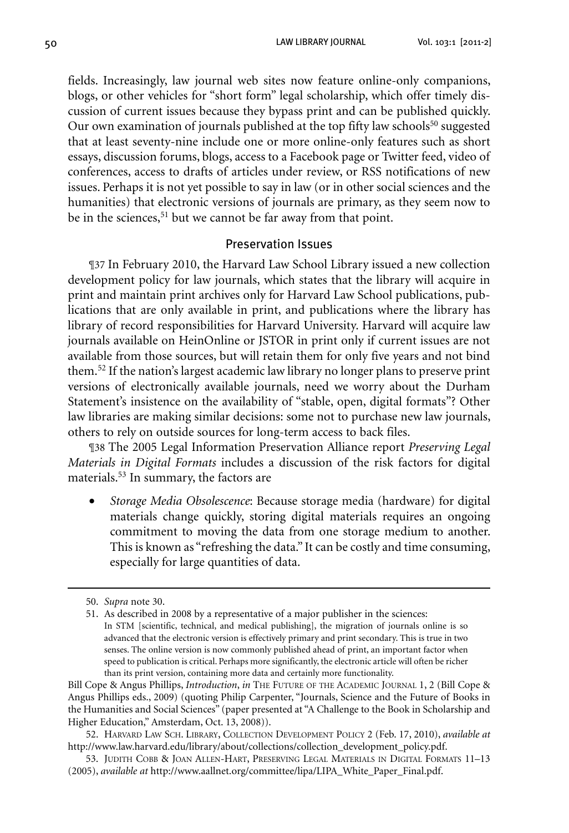fields. Increasingly, law journal web sites now feature online-only companions, blogs, or other vehicles for "short form" legal scholarship, which offer timely discussion of current issues because they bypass print and can be published quickly. Our own examination of journals published at the top fifty law schools<sup>50</sup> suggested that at least seventy-nine include one or more online-only features such as short essays, discussion forums, blogs, access to a Facebook page or Twitter feed, video of conferences, access to drafts of articles under review, or RSS notifications of new issues. Perhaps it is not yet possible to say in law (or in other social sciences and the humanities) that electronic versions of journals are primary, as they seem now to be in the sciences,<sup>51</sup> but we cannot be far away from that point.

# Preservation Issues

¶37 In February 2010, the Harvard Law School Library issued a new collection development policy for law journals, which states that the library will acquire in print and maintain print archives only for Harvard Law School publications, publications that are only available in print, and publications where the library has library of record responsibilities for Harvard University. Harvard will acquire law journals available on HeinOnline or JSTOR in print only if current issues are not available from those sources, but will retain them for only five years and not bind them.52 If the nation's largest academic law library no longer plans to preserve print versions of electronically available journals, need we worry about the Durham Statement's insistence on the availability of "stable, open, digital formats"? Other law libraries are making similar decisions: some not to purchase new law journals, others to rely on outside sources for long-term access to back files.

¶38 The 2005 Legal Information Preservation Alliance report *Preserving Legal Materials in Digital Formats* includes a discussion of the risk factors for digital materials.53 In summary, the factors are

Storage Media Obsolescence: Because storage media (hardware) for digital materials change quickly, storing digital materials requires an ongoing commitment to moving the data from one storage medium to another. This is known as "refreshing the data." It can be costly and time consuming, especially for large quantities of data.

 <sup>50.</sup> *Supra* note 30.

<sup>51.</sup> As described in 2008 by a representative of a major publisher in the sciences: In STM [scientific, technical, and medical publishing], the migration of journals online is so advanced that the electronic version is effectively primary and print secondary. This is true in two senses. The online version is now commonly published ahead of print, an important factor when speed to publication is critical. Perhaps more significantly, the electronic article will often be richer than its print version, containing more data and certainly more functionality.

Bill Cope & Angus Phillips, *Introduction*, *in* THE FUTURE OF THE ACADEMIC JOURNAL 1, 2 (Bill Cope & Angus Phillips eds., 2009) (quoting Philip Carpenter, "Journals, Science and the Future of Books in the Humanities and Social Sciences" (paper presented at "A Challenge to the Book in Scholarship and Higher Education," Amsterdam, Oct. 13, 2008)).

 <sup>52.</sup> Harvard Law Sch. Library, Collection Development Policy 2 (Feb. 17, 2010), *available at* http://www.law.harvard.edu/library/about/collections/collection\_development\_policy.pdf.

 <sup>53.</sup> Judith Cobb & Joan Allen-Hart, Preserving Legal Materials in Digital Formats 11–13 (2005), *available at* http://www.aallnet.org/committee/lipa/LIPA\_White\_Paper\_Final.pdf.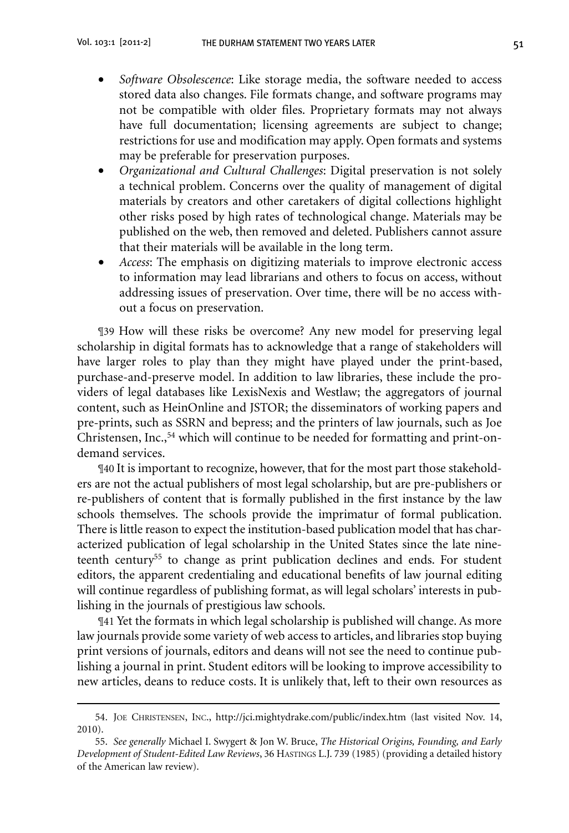- • *Software Obsolescence*: Like storage media, the software needed to access stored data also changes. File formats change, and software programs may not be compatible with older files. Proprietary formats may not always have full documentation; licensing agreements are subject to change; restrictions for use and modification may apply. Open formats and systems may be preferable for preservation purposes.
- Organizational and Cultural Challenges: Digital preservation is not solely a technical problem. Concerns over the quality of management of digital materials by creators and other caretakers of digital collections highlight other risks posed by high rates of technological change. Materials may be published on the web, then removed and deleted. Publishers cannot assure that their materials will be available in the long term.
- *Access*: The emphasis on digitizing materials to improve electronic access to information may lead librarians and others to focus on access, without addressing issues of preservation. Over time, there will be no access without a focus on preservation.

¶39 How will these risks be overcome? Any new model for preserving legal scholarship in digital formats has to acknowledge that a range of stakeholders will have larger roles to play than they might have played under the print-based, purchase-and-preserve model. In addition to law libraries, these include the providers of legal databases like LexisNexis and Westlaw; the aggregators of journal content, such as HeinOnline and JSTOR; the disseminators of working papers and pre-prints, such as SSRN and bepress; and the printers of law journals, such as Joe Christensen, Inc.,54 which will continue to be needed for formatting and print-ondemand services.

¶40 It is important to recognize, however, that for the most part those stakeholders are not the actual publishers of most legal scholarship, but are pre-publishers or re-publishers of content that is formally published in the first instance by the law schools themselves. The schools provide the imprimatur of formal publication. There is little reason to expect the institution-based publication model that has characterized publication of legal scholarship in the United States since the late nineteenth century55 to change as print publication declines and ends. For student editors, the apparent credentialing and educational benefits of law journal editing will continue regardless of publishing format, as will legal scholars' interests in publishing in the journals of prestigious law schools.

¶41 Yet the formats in which legal scholarship is published will change. As more law journals provide some variety of web access to articles, and libraries stop buying print versions of journals, editors and deans will not see the need to continue publishing a journal in print. Student editors will be looking to improve accessibility to new articles, deans to reduce costs. It is unlikely that, left to their own resources as

 <sup>54.</sup> Joe Christensen, Inc., http://jci.mightydrake.com/public/index.htm (last visited Nov. 14, 2010).

 <sup>55.</sup> *See generally* Michael I. Swygert & Jon W. Bruce, *The Historical Origins, Founding, and Early Development of Student-Edited Law Reviews*, 36 Hastings L.J. 739 (1985) (providing a detailed history of the American law review).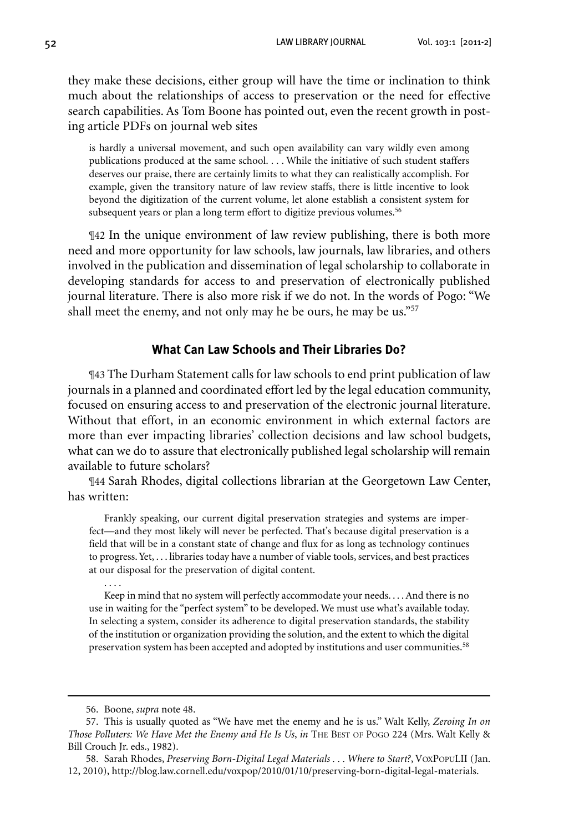they make these decisions, either group will have the time or inclination to think much about the relationships of access to preservation or the need for effective search capabilities. As Tom Boone has pointed out, even the recent growth in posting article PDFs on journal web sites

is hardly a universal movement, and such open availability can vary wildly even among publications produced at the same school. . . . While the initiative of such student staffers deserves our praise, there are certainly limits to what they can realistically accomplish. For example, given the transitory nature of law review staffs, there is little incentive to look beyond the digitization of the current volume, let alone establish a consistent system for subsequent years or plan a long term effort to digitize previous volumes.<sup>56</sup>

¶42 In the unique environment of law review publishing, there is both more need and more opportunity for law schools, law journals, law libraries, and others involved in the publication and dissemination of legal scholarship to collaborate in developing standards for access to and preservation of electronically published journal literature. There is also more risk if we do not. In the words of Pogo: "We shall meet the enemy, and not only may he be ours, he may be us."57

## **What Can Law Schools and Their Libraries Do?**

¶43 The Durham Statement calls for law schools to end print publication of law journals in a planned and coordinated effort led by the legal education community, focused on ensuring access to and preservation of the electronic journal literature. Without that effort, in an economic environment in which external factors are more than ever impacting libraries' collection decisions and law school budgets, what can we do to assure that electronically published legal scholarship will remain available to future scholars?

¶44 Sarah Rhodes, digital collections librarian at the Georgetown Law Center, has written:

Frankly speaking, our current digital preservation strategies and systems are imperfect—and they most likely will never be perfected. That's because digital preservation is a field that will be in a constant state of change and flux for as long as technology continues to progress. Yet, ... libraries today have a number of viable tools, services, and best practices at our disposal for the preservation of digital content.

Keep in mind that no system will perfectly accommodate your needs. . . .And there is no use in waiting for the "perfect system" to be developed. We must use what's available today. In selecting a system, consider its adherence to digital preservation standards, the stability of the institution or organization providing the solution, and the extent to which the digital preservation system has been accepted and adopted by institutions and user communities.58

. . . .

 58. Sarah Rhodes, *Preserving Born-Digital Legal Materials . . . Where to Start?*, VoxPopuLII (Jan. 12, 2010), http://blog.law.cornell.edu/voxpop/2010/01/10/preserving-born-digital-legal-materials.

 <sup>56.</sup> Boone, *supra* note 48.

 <sup>57.</sup> This is usually quoted as "We have met the enemy and he is us." Walt Kelly, *Zeroing In on Those Polluters: We Have Met the Enemy and He Is Us*, *in* The Best of Pogo 224 (Mrs. Walt Kelly & Bill Crouch Jr. eds., 1982).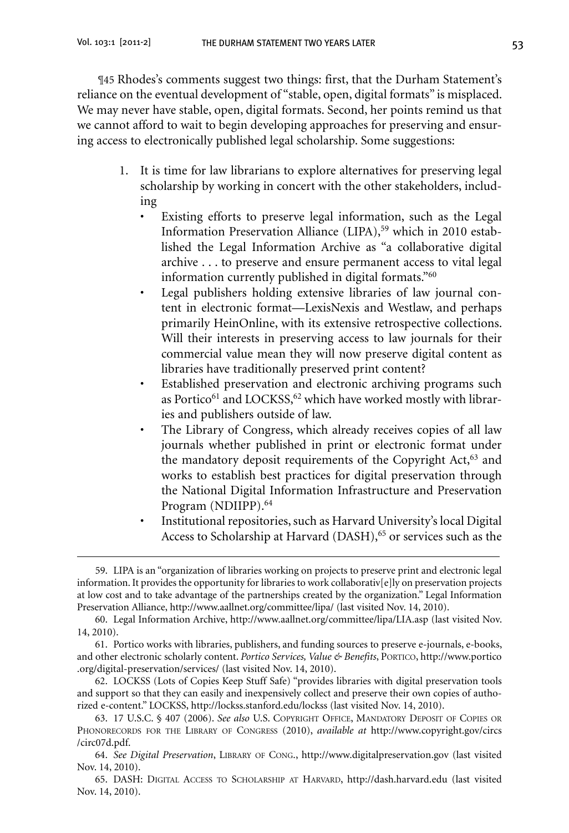¶45 Rhodes's comments suggest two things: first, that the Durham Statement's reliance on the eventual development of "stable, open, digital formats" is misplaced. We may never have stable, open, digital formats. Second, her points remind us that we cannot afford to wait to begin developing approaches for preserving and ensuring access to electronically published legal scholarship. Some suggestions:

- 1. It is time for law librarians to explore alternatives for preserving legal scholarship by working in concert with the other stakeholders, including
	- Existing efforts to preserve legal information, such as the Legal Information Preservation Alliance (LIPA),<sup>59</sup> which in 2010 established the Legal Information Archive as "a collaborative digital archive . . . to preserve and ensure permanent access to vital legal information currently published in digital formats."60
	- Legal publishers holding extensive libraries of law journal content in electronic format—LexisNexis and Westlaw, and perhaps primarily HeinOnline, with its extensive retrospective collections. Will their interests in preserving access to law journals for their commercial value mean they will now preserve digital content as libraries have traditionally preserved print content?
	- Established preservation and electronic archiving programs such as Portico<sup>61</sup> and LOCKSS,<sup>62</sup> which have worked mostly with libraries and publishers outside of law.
	- The Library of Congress, which already receives copies of all law journals whether published in print or electronic format under the mandatory deposit requirements of the Copyright Act,<sup>63</sup> and works to establish best practices for digital preservation through the National Digital Information Infrastructure and Preservation Program (NDIIPP).<sup>64</sup>
	- Institutional repositories, such as Harvard University's local Digital Access to Scholarship at Harvard (DASH),<sup>65</sup> or services such as the

<sup>59.</sup> LIPA is an "organization of libraries working on projects to preserve print and electronic legal information.It provides the opportunity for libraries to work collaborativ[e]ly on preservation projects at low cost and to take advantage of the partnerships created by the organization." Legal Information Preservation Alliance, http://www.aallnet.org/committee/lipa/ (last visited Nov. 14, 2010).

 <sup>60.</sup> Legal Information Archive, http://www.aallnet.org/committee/lipa/LIA.asp (last visited Nov. 14, 2010).

 <sup>61.</sup> Portico works with libraries, publishers, and funding sources to preserve e-journals, e-books, and other electronic scholarly content. *Portico Services, Value & Benefits*, Portico, http://www.portico .org/digital-preservation/services/ (last visited Nov. 14, 2010).

 <sup>62.</sup> LOCKSS (Lots of Copies Keep Stuff Safe) "provides libraries with digital preservation tools and support so that they can easily and inexpensively collect and preserve their own copies of authorized e-content." LOCKSS, http://lockss.stanford.edu/lockss (last visited Nov. 14, 2010).

 <sup>63. 17</sup> U.S.C. § 407 (2006). *See also* U.S. Copyright Office, Mandatory Deposit of Copies or Phonorecords for the Library of Congress (2010), *available at* http://www.copyright.gov/circs /circ07d.pdf.

 <sup>64.</sup> *See Digital Preservation*, Library of Cong., http://www.digitalpreservation.gov (last visited Nov. 14, 2010).

 <sup>65.</sup> DASH: Digital Access to Scholarship at Harvard, http://dash.harvard.edu (last visited Nov. 14, 2010).